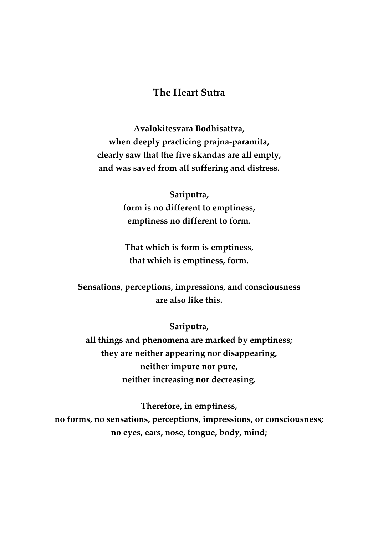## **The Heart Sutra**

**Avalokitesvara Bodhisattva, when deeply practicing prajna-paramita, clearly saw that the five skandas are all empty, and was saved from all suffering and distress.**

## **Sariputra,**

**form is no different to emptiness, emptiness no different to form.**

**That which is form is emptiness, that which is emptiness, form.**

**Sensations, perceptions, impressions, and consciousness are also like this.**

**Sariputra,**

**all things and phenomena are marked by emptiness; they are neither appearing nor disappearing, neither impure nor pure, neither increasing nor decreasing.**

**Therefore, in emptiness, no forms, no sensations, perceptions, impressions, or consciousness; no eyes, ears, nose, tongue, body, mind;**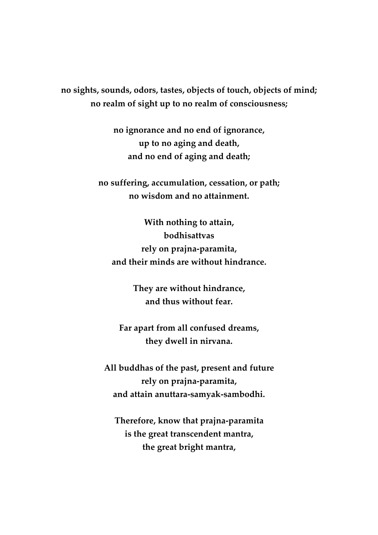**no sights, sounds, odors, tastes, objects of touch, objects of mind; no realm of sight up to no realm of consciousness;**

> **no ignorance and no end of ignorance, up to no aging and death, and no end of aging and death;**

**no suffering, accumulation, cessation, or path; no wisdom and no attainment.**

**With nothing to attain, bodhisattvas rely on prajna-paramita, and their minds are without hindrance.**

> **They are without hindrance, and thus without fear.**

**Far apart from all confused dreams, they dwell in nirvana.**

**All buddhas of the past, present and future rely on prajna-paramita, and attain anuttara-samyak-sambodhi.**

**Therefore, know that prajna-paramita is the great transcendent mantra, the great bright mantra,**